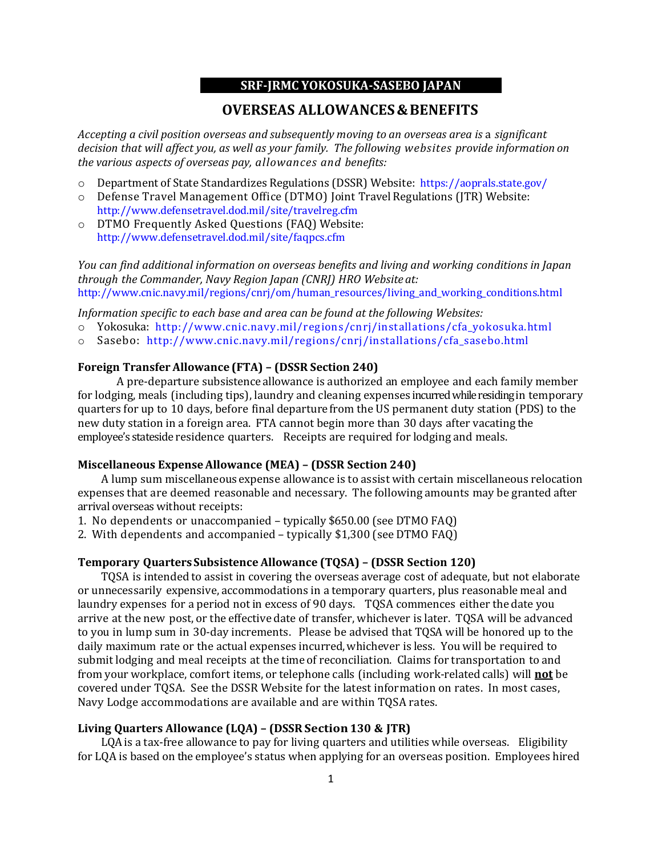## **SRF-JRMC YOKOSUKA-SASEBO JAPAN**

# **OVERSEAS ALLOWANCES & BENEFITS**

*Accepting a civil position overseas and subsequently moving to an overseas area is* a *significant decision that will affect you, as well as your family. The following websites provide information on the various aspects of overseas pay, allowances and benefits:*

- o Department of State Standardizes Regulations (DSSR) Website: <https://aoprals.state.gov/>
- o Defense Travel Management Office (DTMO) Joint TravelRegulations (JTR) Website: <http://www.defensetravel.dod.mil/site/travelreg.cfm>
- o DTMO Frequently Asked Questions (FAQ) Website: <http://www.defensetravel.dod.mil/site/faqpcs.cfm>

*You can find additional information on overseas benefits and living and working conditions in Japan through the Commander, Navy Region Japan (CNRJ) HRO Website at:* [http://www.cnic.navy.mil/regions/cnrj/om/human\\_resources/living\\_and\\_working\\_conditions.html](http://www.cnic.navy.mil/regions/cnrj/om/human_resources/living_and_working_conditions.html)

*Information specific to each base and area can be found at the following Websites:*

- o Yokosuka: [http://www.cnic.navy.mil/regions/cnrj/installations/cfa\\_yokosuka.html](http://www.cnic.navy.mil/regions/cnrj/installations/cfa_yokosuka.html)
- o Sasebo: [http://www.cnic.navy.mil/regions/cnrj/installations/cfa\\_sasebo.html](http://www.cnic.navy.mil/regions/cnrj/installations/cfa_sasebo.html)

## **Foreign Transfer Allowance (FTA) – (DSSR Section 240)**

A pre-departure subsistence allowance is authorized an employee and each family member for lodging, meals (including tips), laundry and cleaning expenses incurred while residing in temporary quarters for up to 10 days, before final departure from the US permanent duty station (PDS) to the new duty station in a foreign area. FTA cannot begin more than 30 days after vacating the employee's stateside residence quarters. Receipts are required for lodging and meals.

#### **Miscellaneous ExpenseAllowance (MEA) – (DSSR Section 240)**

A lump sum miscellaneous expense allowance is to assist with certain miscellaneous relocation expenses that are deemed reasonable and necessary. The following amounts may be granted after arrival overseas without receipts:

1. No dependents or unaccompanied – typically \$650.00 (see DTMO FAQ)

2. With dependents and accompanied – typically \$1,300 (see DTMO FAQ)

### **Temporary Quarters Subsistence Allowance (TQSA) – (DSSR Section 120)**

TQSA is intended to assist in covering the overseas average cost of adequate, but not elaborate or unnecessarily expensive, accommodations in a temporary quarters, plus reasonable meal and laundry expenses for a period not in excess of 90 days. TQSA commences either the date you arrive at the new post, or the effective date of transfer, whichever is later. TQSA will be advanced to you in lump sum in 30-day increments. Please be advised that TQSA will be honored up to the daily maximum rate or the actual expenses incurred, whichever is less. You will be required to submit lodging and meal receipts at the time of reconciliation. Claims for transportation to and from your workplace, comfort items, or telephone calls (including work-related calls) will **not** be covered under TQSA. See the DSSR Website for the latest information on rates. In most cases, Navy Lodge accommodations are available and are within TQSA rates.

### **Living Quarters Allowance (LQA) – (DSSR Section130 & JTR)**

LQA is a tax-free allowance to pay for living quarters and utilities while overseas. Eligibility for LQA is based on the employee's status when applying for an overseas position. Employees hired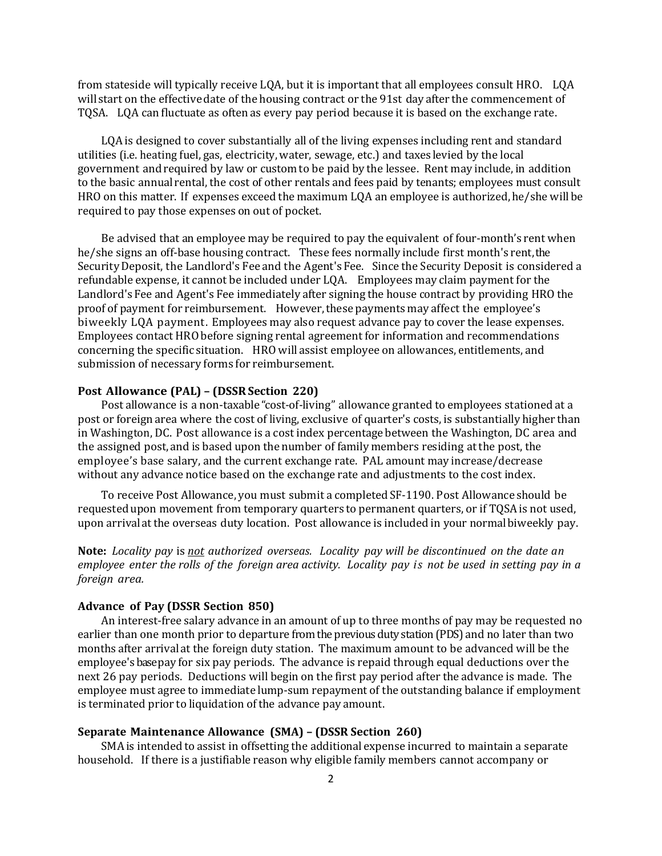from stateside will typically receive LQA, but it is important that all employees consult HRO. LQA will start on the effectivedate of the housing contract or the 91st day after the commencement of TQSA. LQA can fluctuate as often as every pay period because it is based on the exchange rate.

LQAis designed to cover substantially all of the living expenses including rent and standard utilities (i.e. heating fuel, gas, electricity, water, sewage, etc.) and taxes levied by the local government and required by law or customto be paid by the lessee. Rent may include, in addition to the basic annual rental, the cost of other rentals and fees paid by tenants; employees must consult HRO on this matter. If expenses exceed the maximum LQA an employee is authorized,he/she will be required to pay those expenses on out of pocket.

Be advised that an employee may be required to pay the equivalent of four-month's rent when he/she signs an off-base housing contract. These fees normally include first month's rent, the SecurityDeposit, the Landlord's Fee and the Agent's Fee. Since the Security Deposit is considered a refundable expense, it cannot be included under LQA. Employees may claim payment for the Landlord's Fee and Agent's Fee immediately after signing the house contract by providing HRO the proof of payment for reimbursement. However,these payments may affect the employee's biweekly LQA payment. Employees may also request advance pay to cover the lease expenses. Employees contact HRObefore signing rental agreementfor information and recommendations concerning the specific situation. HRO will assist employee on allowances, entitlements, and submission of necessary forms for reimbursement.

## **Post Allowance (PAL) – (DSSRSection 220)**

Post allowance is a non-taxable "cost-of-living" allowance granted to employees stationed at a post or foreign area where the cost of living, exclusive of quarter's costs, is substantially higher than in Washington, DC. Post allowance is a cost index percentagebetween the Washington, DC area and the assigned post, and is based upon the number of family members residing atthe post, the employee's base salary, and the current exchange rate. PAL amount may increase/decrease without any advance notice based on the exchange rate and adjustments to the cost index.

To receive Post Allowance, you must submit a completed SF-1190. Post Allowance should be requested upon movement from temporary quarters to permanent quarters, or if TQSA is not used, upon arrival at the overseas duty location. Post allowance is included in your normal biweekly pay.

**Note:** *Locality pay* is *not authorized overseas. Locality pay will be discontinued on the date an employee enter the rolls of the foreign area activity. Locality pay is not be used in setting pay in a foreign area.*

# **Advance of Pay (DSSR Section 850)**

An interest-free salary advance in an amount of up to three months of pay may be requested no earlier than one month prior to departure from the previous duty station (PDS) and no later than two months after arrival at the foreign duty station. The maximum amount to be advanced will be the employee's base pay for six pay periods. The advance is repaid through equal deductions over the next 26 pay periods. Deductions will begin on the first pay period after the advance is made. The employee must agree to immediate lump-sum repayment of the outstanding balance if employment is terminated prior to liquidation of the advance pay amount.

## **Separate Maintenance Allowance (SMA) – (DSSR Section 260)**

SMAis intended to assist in offsetting the additional expense incurred to maintain a separate household. If there is a justifiable reason why eligible family members cannot accompany or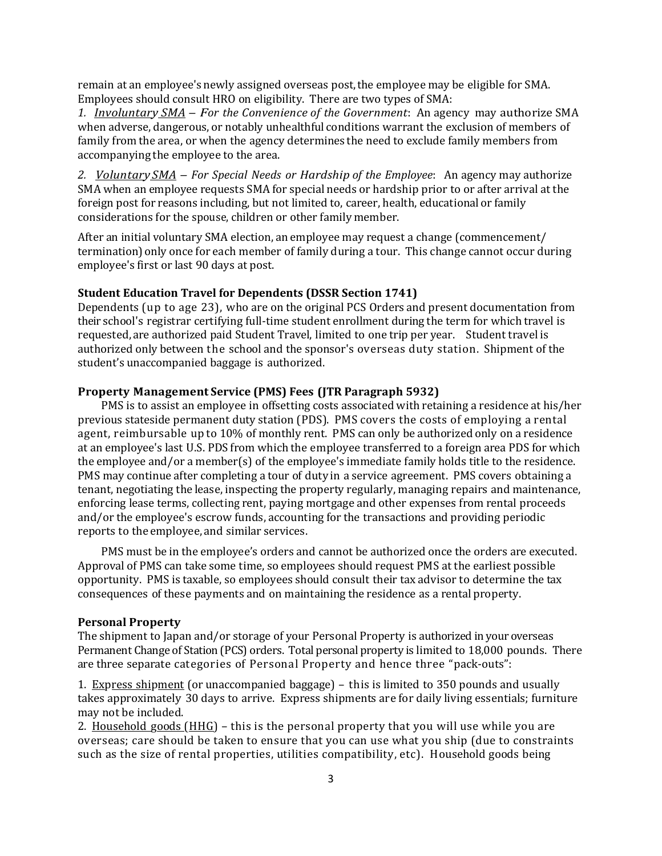remain at an employee's newly assigned overseas post,the employee may be eligible for SMA. Employees should consult HRO on eligibility. There are two types of SMA:

*1. Involuntary SMA – For the Convenience of the Government*: An agency may authorize SMA when adverse, dangerous, or notably unhealthful conditions warrant the exclusion of members of family from the area, or when the agency determines the need to exclude family members from accompanying the employee to the area.

*2. Voluntary SMA – For Special Needs or Hardship of the Employee*: An agency may authorize SMA when an employee requests SMA for special needs or hardship prior to or after arrival at the foreign post for reasons including, but not limited to, career, health, educationalor family considerations for the spouse, children or other family member.

After an initial voluntary SMA election, an employee may request a change (commencement/ termination) only once for each member of family during a tour. This change cannot occur during employee's first or last 90 days at post.

# **Student Education Travel for Dependents (DSSR Section 1741)**

Dependents (up to age 23), who are on the original PCS Orders and present documentation from their school's registrar certifying full-time student enrollment during the term for which travel is requested, are authorized paid Student Travel, limited to one trip per year. Student travel is authorized only between the school and the sponsor's overseas duty station. Shipment of the student's unaccompanied baggage is authorized.

# **Property Management Service (PMS) Fees (JTR Paragraph 5932)**

PMS is to assist an employee in offsetting costs associated with retaining a residence at his/her previous stateside permanent duty station (PDS). PMS covers the costs of employing a rental agent, reimbursable up to 10% of monthly rent. PMS can only be authorized only on a residence at an employee's last U.S. PDS from which the employee transferred to a foreign area PDS for which the employee and/or a member(s) of the employee's immediate family holds title to the residence. PMS may continue after completing a tour of duty in a service agreement. PMS covers obtaining a tenant, negotiating the lease, inspecting the property regularly, managing repairs and maintenance, enforcing lease terms, collecting rent, paying mortgage and other expenses from rental proceeds and/or the employee's escrow funds, accounting for the transactions and providing periodic reports to the employee, and similar services.

PMS must be in the employee's orders and cannot be authorized once the orders are executed. Approval of PMS can take some time, so employees should request PMS at the earliest possible opportunity. PMS is taxable, so employees should consult their tax advisor to determine the tax consequences of these payments and on maintaining the residence as a rental property.

#### **Personal Property**

The shipment to Japan and/or storage of your Personal Property is authorized in your overseas Permanent Change of Station (PCS) orders. Total personal property is limited to 18,000 pounds. There are three separate categories of Personal Property and hence three "pack-outs":

1. Express shipment (or unaccompanied baggage) – this is limited to 350 pounds and usually takes approximately 30 days to arrive. Express shipments are for daily living essentials; furniture may not be included.

2. Household goods  $(HHG)$  – this is the personal property that you will use while you are overseas; care should be taken to ensure that you can use what you ship (due to constraints such as the size of rental properties, utilities compatibility, etc). Household goods being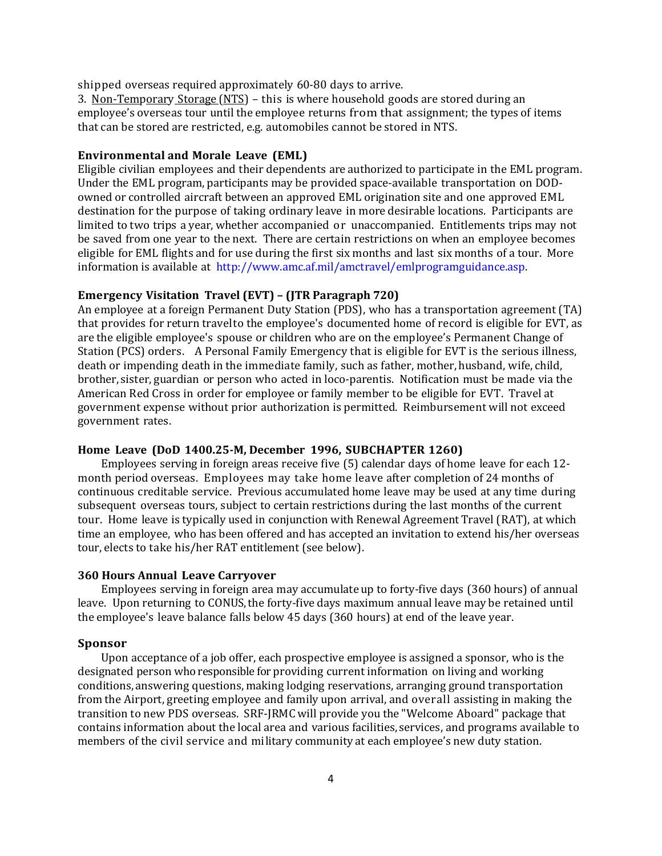shipped overseas required approximately 60-80 days to arrive.

3. Non-Temporary Storage (NTS) – this is where household goods are stored during an employee's overseas tour until the employee returns from that assignment; the types of items that can be stored are restricted, e.g. automobiles cannot be stored in NTS.

### **Environmental and Morale Leave (EML)**

Eligible civilian employees and their dependents are authorized to participate in the EML program. Under the EML program, participants may be provided space-available transportation on DODowned or controlled aircraft between an approved EML origination site and one approved EML destination for the purpose of taking ordinary leave in more desirable locations. Participants are limited to two trips a year, whether accompanied or unaccompanied. Entitlements trips may not be saved from one year to the next. There are certain restrictions on when an employee becomes eligible for EML flights and for use during the first six months and last six months of a tour. More information is available at [http://www.amc.af.mil/amctravel/emlprogramguidance.asp.](http://www.amc.af.mil/amctravel/emlprogramguidance.asp)

### **Emergency Visitation Travel (EVT) – (JTR Paragraph 720)**

An employee at a foreign Permanent Duty Station (PDS), who has a transportation agreement (TA) that provides for return travelto the employee's documented home of record is eligible for EVT, as are the eligible employee's spouse or children who are on the employee's Permanent Change of Station (PCS) orders. A Personal Family Emergency that is eligible for EVT is the serious illness, death or impending death in the immediate family, such as father, mother, husband, wife, child, brother, sister, guardian or person who acted in loco-parentis. Notification must be made via the American Red Cross in order for employee or family member to be eligible for EVT. Travel at government expense without prior authorization is permitted. Reimbursement will not exceed government rates.

#### **Home Leave (DoD 1400.25-M, December 1996, SUBCHAPTER 1260)**

Employees serving in foreign areas receive five (5) calendar days of home leave for each 12 month period overseas. Employees may take home leave after completion of 24 months of continuous creditable service. Previous accumulated home leave may be used at any time during subsequent overseas tours, subject to certain restrictions during the last months of the current tour. Home leave is typically used in conjunction with Renewal Agreement Travel (RAT), at which time an employee, who has been offered and has accepted an invitation to extend his/her overseas tour, elects to take his/her RAT entitlement (see below).

#### **360 Hours Annual Leave Carryover**

Employees serving in foreign area may accumulate up to forty-five days (360 hours) of annual leave. Upon returning to CONUS, the forty-five days maximum annual leave may be retained until the employee's leave balance falls below 45 days (360 hours) at end of the leave year.

#### **Sponsor**

Upon acceptance of a job offer, each prospective employee is assigned a sponsor, who is the designated person who responsible for providing current information on living and working conditions, answering questions, making lodging reservations, arranging ground transportation from the Airport, greeting employee and family upon arrival, and overall assisting in making the transition to new PDS overseas. SRF-JRMC will provide you the "Welcome Aboard" package that contains information about the local area and various facilities, services, and programs available to members of the civil service and military community at each employee's new duty station.